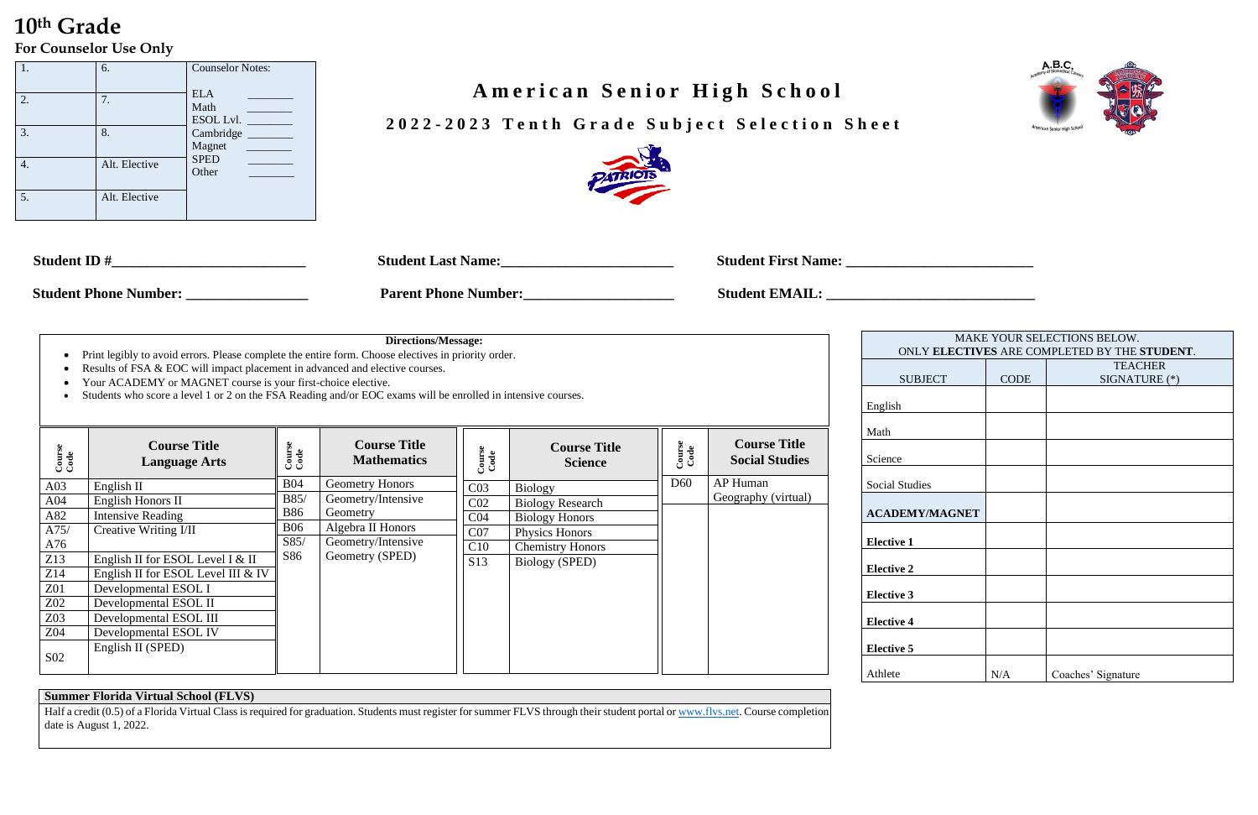## **10th Grade For Counselor Use Only**

 **202 2 - 202 3 T e n t h G r a d e S u b j e c t S e l e c t i o n S h e e t**



| <b>Student ID</b>            | <b>Student Last Name:</b>   | <b>Student First Name:</b> |
|------------------------------|-----------------------------|----------------------------|
| <b>Student Phone Number:</b> | <b>Parent Phone Number:</b> | <b>Student EMAIL.</b>      |

### **Directions/Message:**

|    | 6.            | <b>Counselor Notes:</b>         |
|----|---------------|---------------------------------|
| 2. | 7.            | <b>ELA</b><br>Math<br>ESOL Lvl. |
| 3. | 8.            | Cambridge<br>Magnet             |
|    | Alt. Elective | <b>SPED</b><br>Other            |
| 5. | Alt. Elective |                                 |

# A merican Senior High School

- Print legibly to avoid errors. Please complete the entire form. Choose electives in priority order.
- Results of FSA & EOC will impact placement in advanced and elective courses.
- Your ACADEMY or MAGNET course is your first-choice elective.
- Students who score a level 1 or 2 on the FSA Reading and/or EOC exams will be enrolled in intensive courses.

| MAKE YOUR SELECTIONS BELOW.<br>ONLY ELECTIVES ARE COMPLETED BY THE STUDENT. |             |                    |  |  |  |
|-----------------------------------------------------------------------------|-------------|--------------------|--|--|--|
|                                                                             |             | <b>TEACHER</b>     |  |  |  |
|                                                                             |             |                    |  |  |  |
| <b>SUBJECT</b>                                                              | <b>CODE</b> | SIGNATURE (*)      |  |  |  |
|                                                                             |             |                    |  |  |  |
| h                                                                           |             |                    |  |  |  |
|                                                                             |             |                    |  |  |  |
|                                                                             |             |                    |  |  |  |
|                                                                             |             |                    |  |  |  |
| e:                                                                          |             |                    |  |  |  |
|                                                                             |             |                    |  |  |  |
|                                                                             |             |                    |  |  |  |
| Studies                                                                     |             |                    |  |  |  |
|                                                                             |             |                    |  |  |  |
| <b>DEMY/MAGNET</b>                                                          |             |                    |  |  |  |
|                                                                             |             |                    |  |  |  |
| ve 1                                                                        |             |                    |  |  |  |
|                                                                             |             |                    |  |  |  |
| ve 2                                                                        |             |                    |  |  |  |
|                                                                             |             |                    |  |  |  |
|                                                                             |             |                    |  |  |  |
| ve 3                                                                        |             |                    |  |  |  |
|                                                                             |             |                    |  |  |  |
| ve 4                                                                        |             |                    |  |  |  |
|                                                                             |             |                    |  |  |  |
| ve 5                                                                        |             |                    |  |  |  |
|                                                                             |             |                    |  |  |  |
|                                                                             |             |                    |  |  |  |
| e                                                                           | N/A         | Coaches' Signature |  |  |  |

English

Half a credit (0.5) of a Florida Virtual Class is required for graduation. Students must register for summer FLVS through their student portal o[r www.flvs.net.](http://www.flvs.net/) Course completion date is August 1, 2022.



| Course<br>Code  | <b>Course Title</b><br><b>Language Arts</b> | Course<br>Code | <b>Course Title</b><br><b>Mathematics</b> | Course<br>Code  | <b>Course Title</b><br><b>Science</b> | Course<br>Code  | <b>Course Title</b><br><b>Social Studies</b> | Math<br>Science   |  |
|-----------------|---------------------------------------------|----------------|-------------------------------------------|-----------------|---------------------------------------|-----------------|----------------------------------------------|-------------------|--|
| A03             | English II                                  | <b>B04</b>     | <b>Geometry Honors</b>                    | C <sub>03</sub> | <b>Biology</b>                        | D <sub>60</sub> | AP Human                                     | Social Studie     |  |
| A04             | English Honors II                           | B85/           | Geometry/Intensive                        | C <sub>02</sub> | <b>Biology Research</b>               |                 | Geography (virtual)                          |                   |  |
| A82             | Intensive Reading                           | <b>B86</b>     | Geometry                                  | C <sub>04</sub> | <b>Biology Honors</b>                 |                 |                                              | <b>ACADEMY</b>    |  |
| A75/            | Creative Writing I/II                       | <b>B06</b>     | Algebra II Honors                         | CO7             | Physics Honors                        |                 |                                              |                   |  |
| A76             |                                             | S85/           | Geometry/Intensive                        | C10             | <b>Chemistry Honors</b>               |                 |                                              | <b>Elective 1</b> |  |
| Z13             | English II for ESOL Level I & II            | S86            | Geometry (SPED)                           | S13             | Biology (SPED)                        |                 |                                              |                   |  |
| Z14             | English II for ESOL Level III & IV          |                |                                           |                 |                                       |                 |                                              | <b>Elective 2</b> |  |
| <b>Z01</b>      | Developmental ESOL I                        |                |                                           |                 |                                       |                 |                                              | <b>Elective 3</b> |  |
| Z02             | Developmental ESOL II                       |                |                                           |                 |                                       |                 |                                              |                   |  |
| Z03             | Developmental ESOL III                      |                |                                           |                 |                                       |                 |                                              | <b>Elective 4</b> |  |
| Z04             | Developmental ESOL IV                       |                |                                           |                 |                                       |                 |                                              |                   |  |
|                 | English II (SPED)                           |                |                                           |                 |                                       |                 |                                              | <b>Elective 5</b> |  |
| S <sub>02</sub> |                                             |                |                                           |                 |                                       |                 |                                              | Athlete           |  |

### **Summer Florida Virtual School (FLVS)**